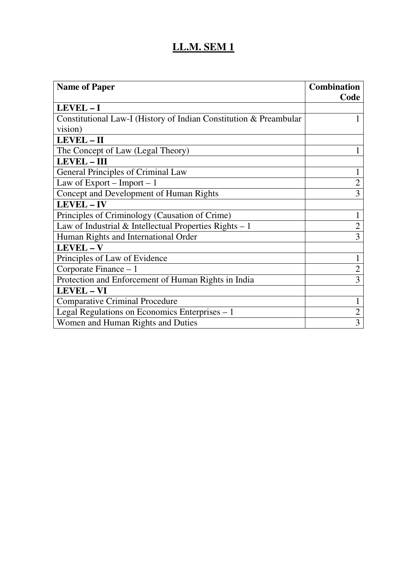| <b>Name of Paper</b>                                              | <b>Combination</b> |
|-------------------------------------------------------------------|--------------------|
|                                                                   | Code               |
| LEVEL-I                                                           |                    |
| Constitutional Law-I (History of Indian Constitution & Preambular |                    |
| vision)                                                           |                    |
| LEVEL - II                                                        |                    |
| The Concept of Law (Legal Theory)                                 |                    |
| LEVEL - III                                                       |                    |
| General Principles of Criminal Law                                | 1                  |
| Law of Export – Import – $1$                                      | $\overline{2}$     |
| Concept and Development of Human Rights                           | 3                  |
| <b>LEVEL-IV</b>                                                   |                    |
| Principles of Criminology (Causation of Crime)                    | 1                  |
| Law of Industrial & Intellectual Properties Rights $-1$           | $\overline{2}$     |
| Human Rights and International Order                              | $\overline{3}$     |
| LEVEL - V                                                         |                    |
| Principles of Law of Evidence                                     | 1                  |
| Corporate Finance $-1$                                            | $\overline{2}$     |
| Protection and Enforcement of Human Rights in India               | 3                  |
| LEVEL - VI                                                        |                    |
| <b>Comparative Criminal Procedure</b>                             | 1                  |
| Legal Regulations on Economics Enterprises – 1                    | $\mathbf{2}$       |
| Women and Human Rights and Duties                                 | $\overline{3}$     |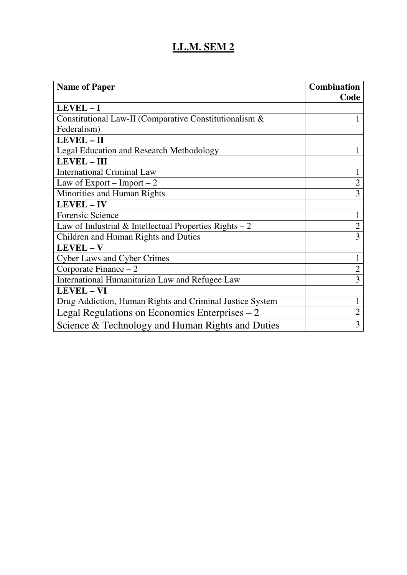| <b>Name of Paper</b>                                     | <b>Combination</b> |
|----------------------------------------------------------|--------------------|
|                                                          | Code               |
| LEVEL-I                                                  |                    |
| Constitutional Law-II (Comparative Constitutionalism &   |                    |
| Federalism)                                              |                    |
| LEVEL-II                                                 |                    |
| <b>Legal Education and Research Methodology</b>          |                    |
| <b>LEVEL-III</b>                                         |                    |
| <b>International Criminal Law</b>                        |                    |
| Law of Export – Import – 2                               | $\overline{2}$     |
| Minorities and Human Rights                              | 3                  |
| LEVEL - IV                                               |                    |
| <b>Forensic Science</b>                                  |                    |
| Law of Industrial $&$ Intellectual Properties Rights – 2 | $\overline{2}$     |
| Children and Human Rights and Duties                     | 3                  |
| LEVEL-V                                                  |                    |
| <b>Cyber Laws and Cyber Crimes</b>                       |                    |
| Corporate Finance $-2$                                   |                    |
| International Humanitarian Law and Refugee Law           | $\overline{3}$     |
| <b>LEVEL - VI</b>                                        |                    |
| Drug Addiction, Human Rights and Criminal Justice System | 1                  |
| Legal Regulations on Economics Enterprises $-2$          | $\overline{2}$     |
| Science & Technology and Human Rights and Duties         | 3                  |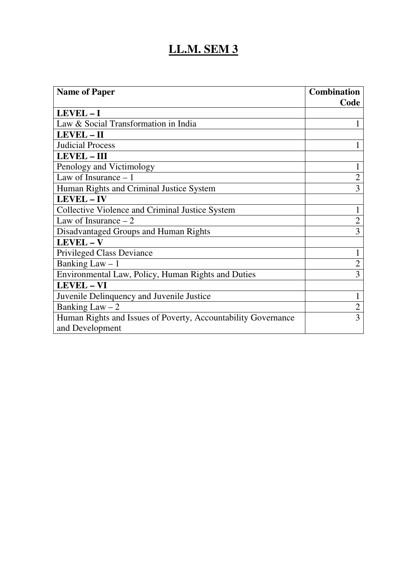| <b>Name of Paper</b>                                          | <b>Combination</b> |
|---------------------------------------------------------------|--------------------|
|                                                               | Code               |
| LEVEL-I                                                       |                    |
| Law & Social Transformation in India                          |                    |
| LEVEL - II                                                    |                    |
| <b>Judicial Process</b>                                       |                    |
| <b>LEVEL-III</b>                                              |                    |
| Penology and Victimology                                      |                    |
| Law of Insurance $-1$                                         | $\overline{2}$     |
| Human Rights and Criminal Justice System                      | $\overline{3}$     |
| <b>LEVEL-IV</b>                                               |                    |
| Collective Violence and Criminal Justice System               | 1                  |
| Law of Insurance $-2$                                         | $\overline{2}$     |
| Disadvantaged Groups and Human Rights                         | 3                  |
| LEVEL-V                                                       |                    |
| <b>Privileged Class Deviance</b>                              | 1                  |
| Banking Law $-1$                                              | $\overline{2}$     |
| Environmental Law, Policy, Human Rights and Duties            | 3                  |
| <b>LEVEL - VI</b>                                             |                    |
| Juvenile Delinquency and Juvenile Justice                     | 1                  |
| Banking Law $-2$                                              | $\overline{2}$     |
| Human Rights and Issues of Poverty, Accountability Governance | 3                  |
| and Development                                               |                    |